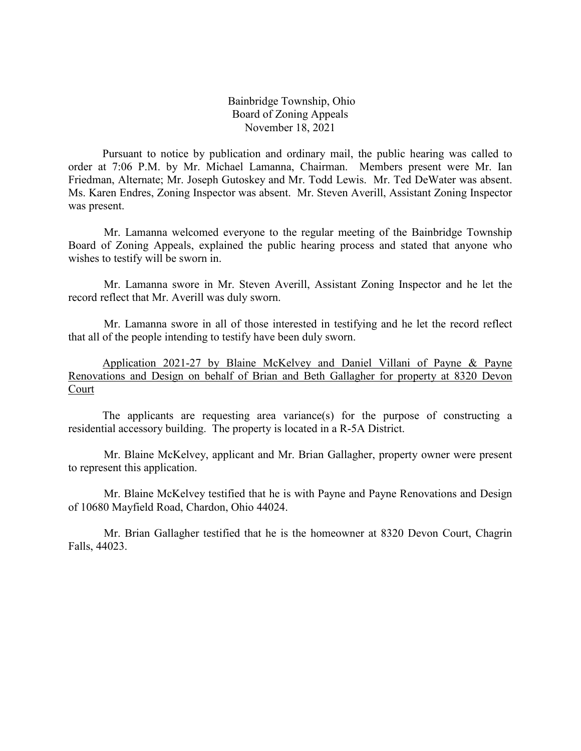Bainbridge Township, Ohio Board of Zoning Appeals November 18, 2021

Pursuant to notice by publication and ordinary mail, the public hearing was called to order at 7:06 P.M. by Mr. Michael Lamanna, Chairman. Members present were Mr. Ian Friedman, Alternate; Mr. Joseph Gutoskey and Mr. Todd Lewis. Mr. Ted DeWater was absent. Ms. Karen Endres, Zoning Inspector was absent. Mr. Steven Averill, Assistant Zoning Inspector was present.

Mr. Lamanna welcomed everyone to the regular meeting of the Bainbridge Township Board of Zoning Appeals, explained the public hearing process and stated that anyone who wishes to testify will be sworn in.

Mr. Lamanna swore in Mr. Steven Averill, Assistant Zoning Inspector and he let the record reflect that Mr. Averill was duly sworn.

Mr. Lamanna swore in all of those interested in testifying and he let the record reflect that all of the people intending to testify have been duly sworn.

Application 2021-27 by Blaine McKelvey and Daniel Villani of Payne & Payne Renovations and Design on behalf of Brian and Beth Gallagher for property at 8320 Devon Court

The applicants are requesting area variance(s) for the purpose of constructing a residential accessory building. The property is located in a R-5A District.

Mr. Blaine McKelvey, applicant and Mr. Brian Gallagher, property owner were present to represent this application.

Mr. Blaine McKelvey testified that he is with Payne and Payne Renovations and Design of 10680 Mayfield Road, Chardon, Ohio 44024.

Mr. Brian Gallagher testified that he is the homeowner at 8320 Devon Court, Chagrin Falls, 44023.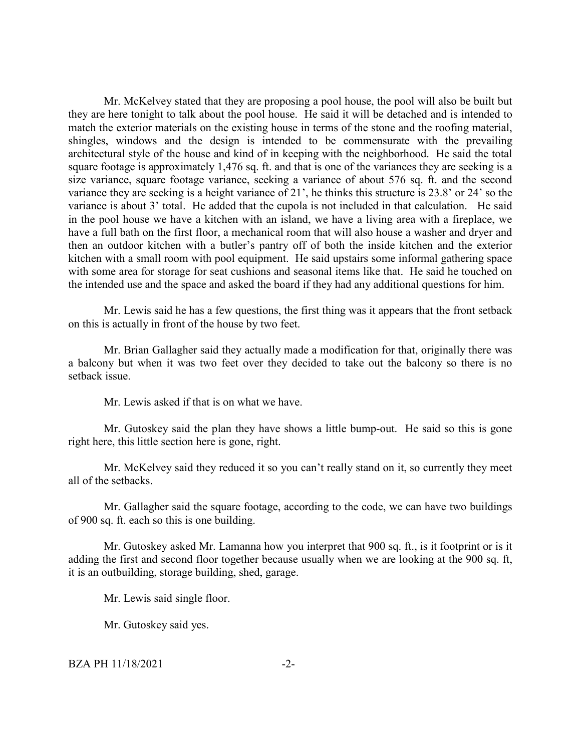Mr. McKelvey stated that they are proposing a pool house, the pool will also be built but they are here tonight to talk about the pool house. He said it will be detached and is intended to match the exterior materials on the existing house in terms of the stone and the roofing material, shingles, windows and the design is intended to be commensurate with the prevailing architectural style of the house and kind of in keeping with the neighborhood. He said the total square footage is approximately 1,476 sq. ft. and that is one of the variances they are seeking is a size variance, square footage variance, seeking a variance of about 576 sq. ft. and the second variance they are seeking is a height variance of 21', he thinks this structure is 23.8' or 24' so the variance is about 3' total. He added that the cupola is not included in that calculation. He said in the pool house we have a kitchen with an island, we have a living area with a fireplace, we have a full bath on the first floor, a mechanical room that will also house a washer and dryer and then an outdoor kitchen with a butler's pantry off of both the inside kitchen and the exterior kitchen with a small room with pool equipment. He said upstairs some informal gathering space with some area for storage for seat cushions and seasonal items like that. He said he touched on the intended use and the space and asked the board if they had any additional questions for him.

Mr. Lewis said he has a few questions, the first thing was it appears that the front setback on this is actually in front of the house by two feet.

Mr. Brian Gallagher said they actually made a modification for that, originally there was a balcony but when it was two feet over they decided to take out the balcony so there is no setback issue.

Mr. Lewis asked if that is on what we have.

Mr. Gutoskey said the plan they have shows a little bump-out. He said so this is gone right here, this little section here is gone, right.

Mr. McKelvey said they reduced it so you can't really stand on it, so currently they meet all of the setbacks.

Mr. Gallagher said the square footage, according to the code, we can have two buildings of 900 sq. ft. each so this is one building.

Mr. Gutoskey asked Mr. Lamanna how you interpret that 900 sq. ft., is it footprint or is it adding the first and second floor together because usually when we are looking at the 900 sq. ft, it is an outbuilding, storage building, shed, garage.

Mr. Lewis said single floor.

Mr. Gutoskey said yes.

BZA PH 11/18/2021 -2-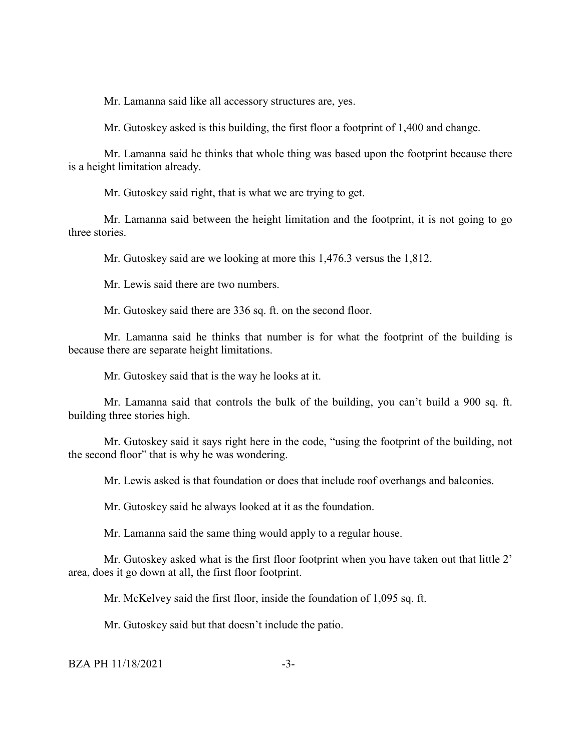Mr. Lamanna said like all accessory structures are, yes.

Mr. Gutoskey asked is this building, the first floor a footprint of 1,400 and change.

Mr. Lamanna said he thinks that whole thing was based upon the footprint because there is a height limitation already.

Mr. Gutoskey said right, that is what we are trying to get.

Mr. Lamanna said between the height limitation and the footprint, it is not going to go three stories.

Mr. Gutoskey said are we looking at more this 1,476.3 versus the 1,812.

Mr. Lewis said there are two numbers.

Mr. Gutoskey said there are 336 sq. ft. on the second floor.

Mr. Lamanna said he thinks that number is for what the footprint of the building is because there are separate height limitations.

Mr. Gutoskey said that is the way he looks at it.

Mr. Lamanna said that controls the bulk of the building, you can't build a 900 sq. ft. building three stories high.

Mr. Gutoskey said it says right here in the code, "using the footprint of the building, not the second floor" that is why he was wondering.

Mr. Lewis asked is that foundation or does that include roof overhangs and balconies.

Mr. Gutoskey said he always looked at it as the foundation.

Mr. Lamanna said the same thing would apply to a regular house.

Mr. Gutoskey asked what is the first floor footprint when you have taken out that little 2' area, does it go down at all, the first floor footprint.

Mr. McKelvey said the first floor, inside the foundation of 1,095 sq. ft.

Mr. Gutoskey said but that doesn't include the patio.

BZA PH 11/18/2021 -3-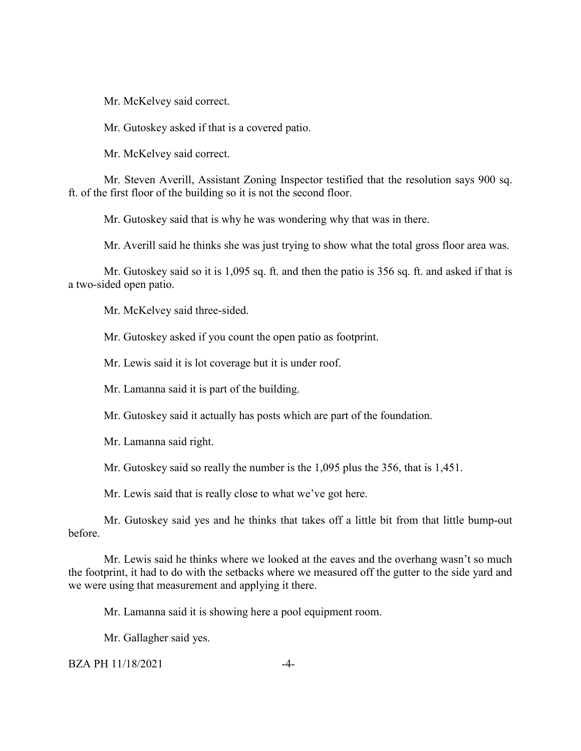Mr. McKelvey said correct.

Mr. Gutoskey asked if that is a covered patio.

Mr. McKelvey said correct.

Mr. Steven Averill, Assistant Zoning Inspector testified that the resolution says 900 sq. ft. of the first floor of the building so it is not the second floor.

Mr. Gutoskey said that is why he was wondering why that was in there.

Mr. Averill said he thinks she was just trying to show what the total gross floor area was.

Mr. Gutoskey said so it is 1,095 sq. ft. and then the patio is 356 sq. ft. and asked if that is a two-sided open patio.

Mr. McKelvey said three-sided.

Mr. Gutoskey asked if you count the open patio as footprint.

Mr. Lewis said it is lot coverage but it is under roof.

Mr. Lamanna said it is part of the building.

Mr. Gutoskey said it actually has posts which are part of the foundation.

Mr. Lamanna said right.

Mr. Gutoskey said so really the number is the 1,095 plus the 356, that is 1,451.

Mr. Lewis said that is really close to what we've got here.

Mr. Gutoskey said yes and he thinks that takes off a little bit from that little bump-out before.

Mr. Lewis said he thinks where we looked at the eaves and the overhang wasn't so much the footprint, it had to do with the setbacks where we measured off the gutter to the side yard and we were using that measurement and applying it there.

Mr. Lamanna said it is showing here a pool equipment room.

Mr. Gallagher said yes.

### BZA PH 11/18/2021 -4-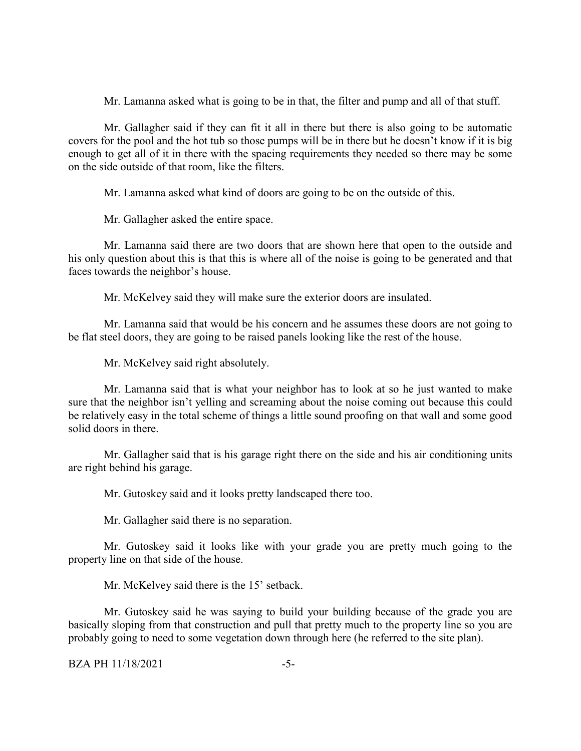Mr. Lamanna asked what is going to be in that, the filter and pump and all of that stuff.

Mr. Gallagher said if they can fit it all in there but there is also going to be automatic covers for the pool and the hot tub so those pumps will be in there but he doesn't know if it is big enough to get all of it in there with the spacing requirements they needed so there may be some on the side outside of that room, like the filters.

Mr. Lamanna asked what kind of doors are going to be on the outside of this.

Mr. Gallagher asked the entire space.

Mr. Lamanna said there are two doors that are shown here that open to the outside and his only question about this is that this is where all of the noise is going to be generated and that faces towards the neighbor's house.

Mr. McKelvey said they will make sure the exterior doors are insulated.

Mr. Lamanna said that would be his concern and he assumes these doors are not going to be flat steel doors, they are going to be raised panels looking like the rest of the house.

Mr. McKelvey said right absolutely.

Mr. Lamanna said that is what your neighbor has to look at so he just wanted to make sure that the neighbor isn't yelling and screaming about the noise coming out because this could be relatively easy in the total scheme of things a little sound proofing on that wall and some good solid doors in there.

Mr. Gallagher said that is his garage right there on the side and his air conditioning units are right behind his garage.

Mr. Gutoskey said and it looks pretty landscaped there too.

Mr. Gallagher said there is no separation.

Mr. Gutoskey said it looks like with your grade you are pretty much going to the property line on that side of the house.

Mr. McKelvey said there is the 15' setback.

Mr. Gutoskey said he was saying to build your building because of the grade you are basically sloping from that construction and pull that pretty much to the property line so you are probably going to need to some vegetation down through here (he referred to the site plan).

BZA PH 11/18/2021 - 5-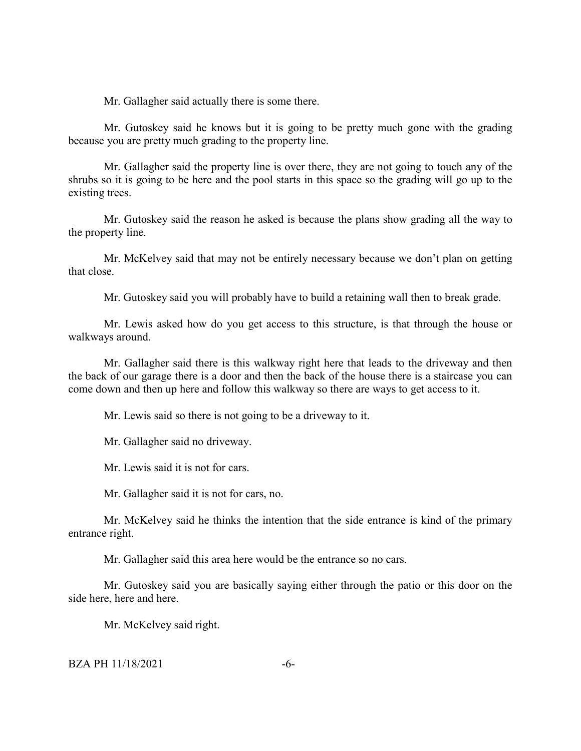Mr. Gallagher said actually there is some there.

Mr. Gutoskey said he knows but it is going to be pretty much gone with the grading because you are pretty much grading to the property line.

Mr. Gallagher said the property line is over there, they are not going to touch any of the shrubs so it is going to be here and the pool starts in this space so the grading will go up to the existing trees.

Mr. Gutoskey said the reason he asked is because the plans show grading all the way to the property line.

Mr. McKelvey said that may not be entirely necessary because we don't plan on getting that close.

Mr. Gutoskey said you will probably have to build a retaining wall then to break grade.

Mr. Lewis asked how do you get access to this structure, is that through the house or walkways around.

Mr. Gallagher said there is this walkway right here that leads to the driveway and then the back of our garage there is a door and then the back of the house there is a staircase you can come down and then up here and follow this walkway so there are ways to get access to it.

Mr. Lewis said so there is not going to be a driveway to it.

Mr. Gallagher said no driveway.

Mr. Lewis said it is not for cars.

Mr. Gallagher said it is not for cars, no.

Mr. McKelvey said he thinks the intention that the side entrance is kind of the primary entrance right.

Mr. Gallagher said this area here would be the entrance so no cars.

Mr. Gutoskey said you are basically saying either through the patio or this door on the side here, here and here.

Mr. McKelvey said right.

BZA PH 11/18/2021 - 6-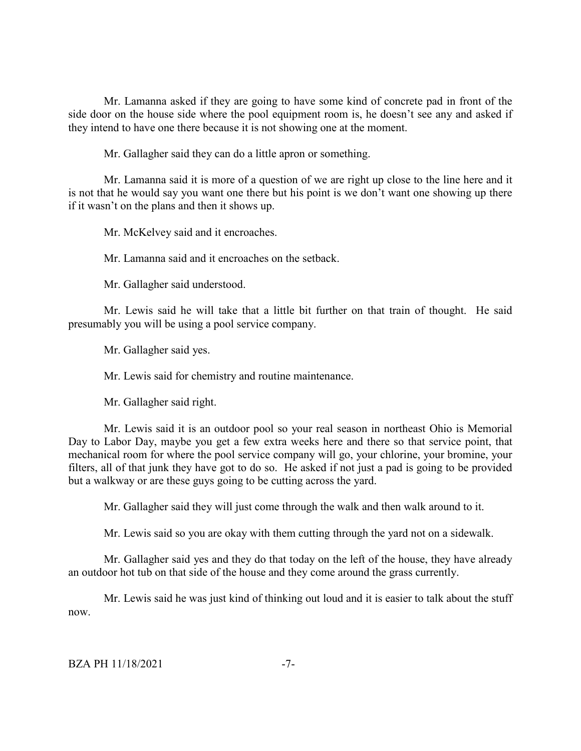Mr. Lamanna asked if they are going to have some kind of concrete pad in front of the side door on the house side where the pool equipment room is, he doesn't see any and asked if they intend to have one there because it is not showing one at the moment.

Mr. Gallagher said they can do a little apron or something.

Mr. Lamanna said it is more of a question of we are right up close to the line here and it is not that he would say you want one there but his point is we don't want one showing up there if it wasn't on the plans and then it shows up.

Mr. McKelvey said and it encroaches.

Mr. Lamanna said and it encroaches on the setback.

Mr. Gallagher said understood.

Mr. Lewis said he will take that a little bit further on that train of thought. He said presumably you will be using a pool service company.

Mr. Gallagher said yes.

Mr. Lewis said for chemistry and routine maintenance.

Mr. Gallagher said right.

Mr. Lewis said it is an outdoor pool so your real season in northeast Ohio is Memorial Day to Labor Day, maybe you get a few extra weeks here and there so that service point, that mechanical room for where the pool service company will go, your chlorine, your bromine, your filters, all of that junk they have got to do so. He asked if not just a pad is going to be provided but a walkway or are these guys going to be cutting across the yard.

Mr. Gallagher said they will just come through the walk and then walk around to it.

Mr. Lewis said so you are okay with them cutting through the yard not on a sidewalk.

Mr. Gallagher said yes and they do that today on the left of the house, they have already an outdoor hot tub on that side of the house and they come around the grass currently.

Mr. Lewis said he was just kind of thinking out loud and it is easier to talk about the stuff now.

BZA PH 11/18/2021 -7-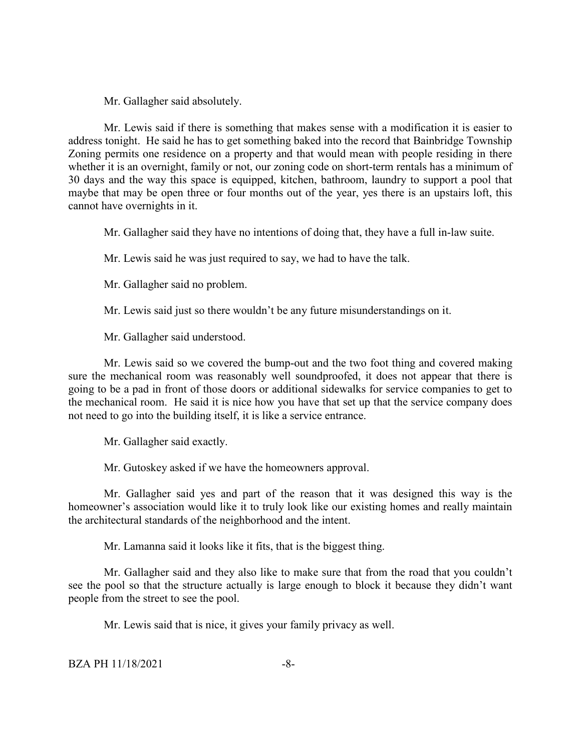Mr. Gallagher said absolutely.

Mr. Lewis said if there is something that makes sense with a modification it is easier to address tonight. He said he has to get something baked into the record that Bainbridge Township Zoning permits one residence on a property and that would mean with people residing in there whether it is an overnight, family or not, our zoning code on short-term rentals has a minimum of 30 days and the way this space is equipped, kitchen, bathroom, laundry to support a pool that maybe that may be open three or four months out of the year, yes there is an upstairs loft, this cannot have overnights in it.

Mr. Gallagher said they have no intentions of doing that, they have a full in-law suite.

Mr. Lewis said he was just required to say, we had to have the talk.

Mr. Gallagher said no problem.

Mr. Lewis said just so there wouldn't be any future misunderstandings on it.

Mr. Gallagher said understood.

Mr. Lewis said so we covered the bump-out and the two foot thing and covered making sure the mechanical room was reasonably well soundproofed, it does not appear that there is going to be a pad in front of those doors or additional sidewalks for service companies to get to the mechanical room. He said it is nice how you have that set up that the service company does not need to go into the building itself, it is like a service entrance.

Mr. Gallagher said exactly.

Mr. Gutoskey asked if we have the homeowners approval.

Mr. Gallagher said yes and part of the reason that it was designed this way is the homeowner's association would like it to truly look like our existing homes and really maintain the architectural standards of the neighborhood and the intent.

Mr. Lamanna said it looks like it fits, that is the biggest thing.

Mr. Gallagher said and they also like to make sure that from the road that you couldn't see the pool so that the structure actually is large enough to block it because they didn't want people from the street to see the pool.

Mr. Lewis said that is nice, it gives your family privacy as well.

BZA PH 11/18/2021 -8-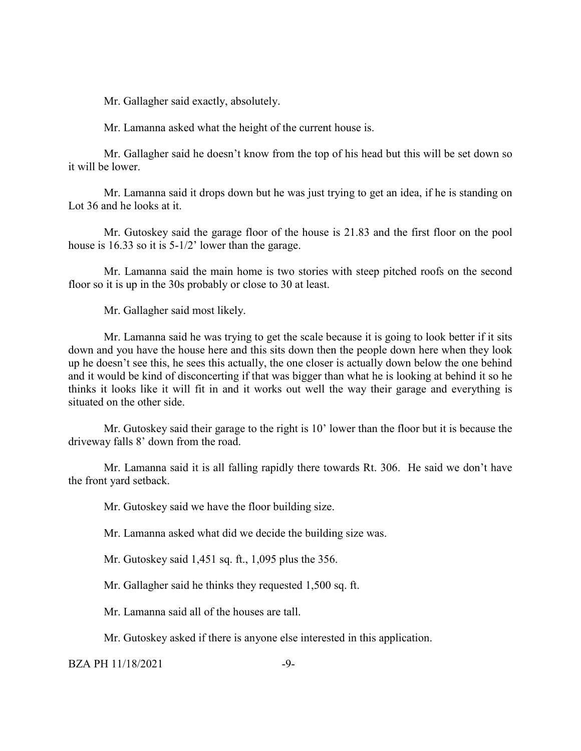Mr. Gallagher said exactly, absolutely.

Mr. Lamanna asked what the height of the current house is.

Mr. Gallagher said he doesn't know from the top of his head but this will be set down so it will be lower.

Mr. Lamanna said it drops down but he was just trying to get an idea, if he is standing on Lot 36 and he looks at it.

Mr. Gutoskey said the garage floor of the house is 21.83 and the first floor on the pool house is 16.33 so it is 5-1/2' lower than the garage.

Mr. Lamanna said the main home is two stories with steep pitched roofs on the second floor so it is up in the 30s probably or close to 30 at least.

Mr. Gallagher said most likely.

Mr. Lamanna said he was trying to get the scale because it is going to look better if it sits down and you have the house here and this sits down then the people down here when they look up he doesn't see this, he sees this actually, the one closer is actually down below the one behind and it would be kind of disconcerting if that was bigger than what he is looking at behind it so he thinks it looks like it will fit in and it works out well the way their garage and everything is situated on the other side.

Mr. Gutoskey said their garage to the right is 10' lower than the floor but it is because the driveway falls 8' down from the road.

Mr. Lamanna said it is all falling rapidly there towards Rt. 306. He said we don't have the front yard setback.

Mr. Gutoskey said we have the floor building size.

Mr. Lamanna asked what did we decide the building size was.

Mr. Gutoskey said 1,451 sq. ft., 1,095 plus the 356.

Mr. Gallagher said he thinks they requested 1,500 sq. ft.

Mr. Lamanna said all of the houses are tall.

Mr. Gutoskey asked if there is anyone else interested in this application.

#### $BZA PH 11/18/2021$   $-9-$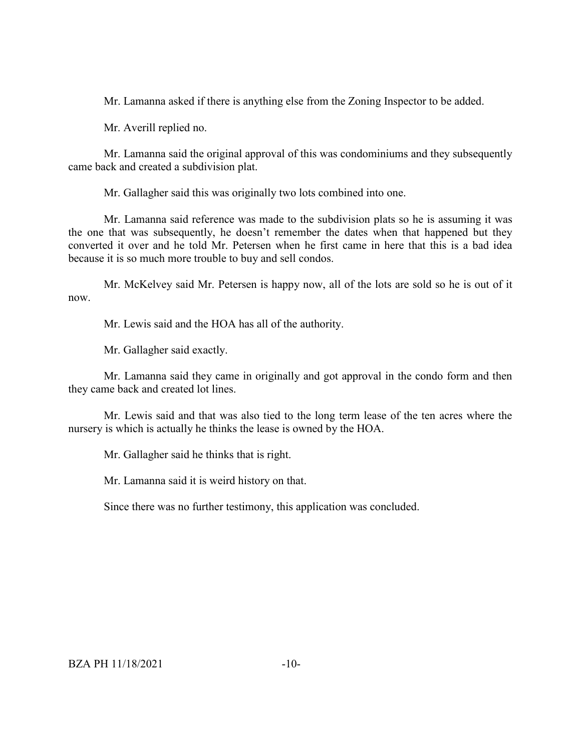Mr. Lamanna asked if there is anything else from the Zoning Inspector to be added.

Mr. Averill replied no.

Mr. Lamanna said the original approval of this was condominiums and they subsequently came back and created a subdivision plat.

Mr. Gallagher said this was originally two lots combined into one.

Mr. Lamanna said reference was made to the subdivision plats so he is assuming it was the one that was subsequently, he doesn't remember the dates when that happened but they converted it over and he told Mr. Petersen when he first came in here that this is a bad idea because it is so much more trouble to buy and sell condos.

Mr. McKelvey said Mr. Petersen is happy now, all of the lots are sold so he is out of it now.

Mr. Lewis said and the HOA has all of the authority.

Mr. Gallagher said exactly.

Mr. Lamanna said they came in originally and got approval in the condo form and then they came back and created lot lines.

Mr. Lewis said and that was also tied to the long term lease of the ten acres where the nursery is which is actually he thinks the lease is owned by the HOA.

Mr. Gallagher said he thinks that is right.

Mr. Lamanna said it is weird history on that.

Since there was no further testimony, this application was concluded.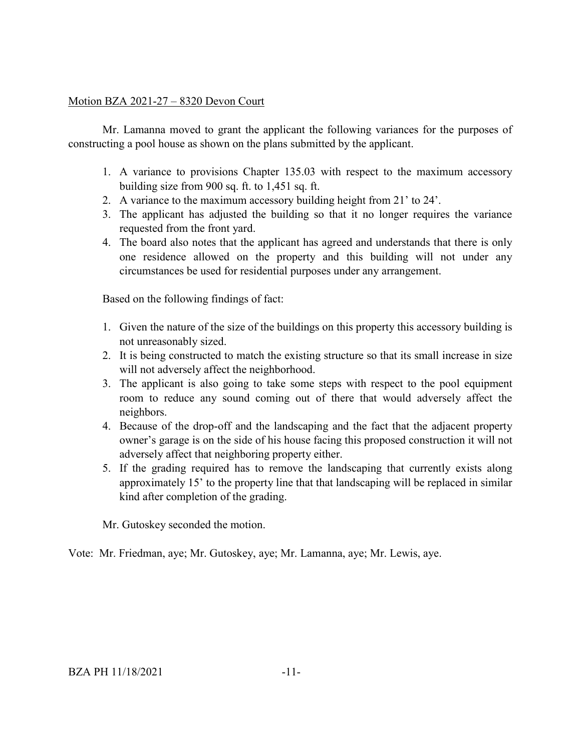## Motion BZA 2021-27 – 8320 Devon Court

Mr. Lamanna moved to grant the applicant the following variances for the purposes of constructing a pool house as shown on the plans submitted by the applicant.

- 1. A variance to provisions Chapter 135.03 with respect to the maximum accessory building size from 900 sq. ft. to 1,451 sq. ft.
- 2. A variance to the maximum accessory building height from 21' to 24'.
- 3. The applicant has adjusted the building so that it no longer requires the variance requested from the front yard.
- 4. The board also notes that the applicant has agreed and understands that there is only one residence allowed on the property and this building will not under any circumstances be used for residential purposes under any arrangement.

Based on the following findings of fact:

- 1. Given the nature of the size of the buildings on this property this accessory building is not unreasonably sized.
- 2. It is being constructed to match the existing structure so that its small increase in size will not adversely affect the neighborhood.
- 3. The applicant is also going to take some steps with respect to the pool equipment room to reduce any sound coming out of there that would adversely affect the neighbors.
- 4. Because of the drop-off and the landscaping and the fact that the adjacent property owner's garage is on the side of his house facing this proposed construction it will not adversely affect that neighboring property either.
- 5. If the grading required has to remove the landscaping that currently exists along approximately 15' to the property line that that landscaping will be replaced in similar kind after completion of the grading.

Mr. Gutoskey seconded the motion.

Vote: Mr. Friedman, aye; Mr. Gutoskey, aye; Mr. Lamanna, aye; Mr. Lewis, aye.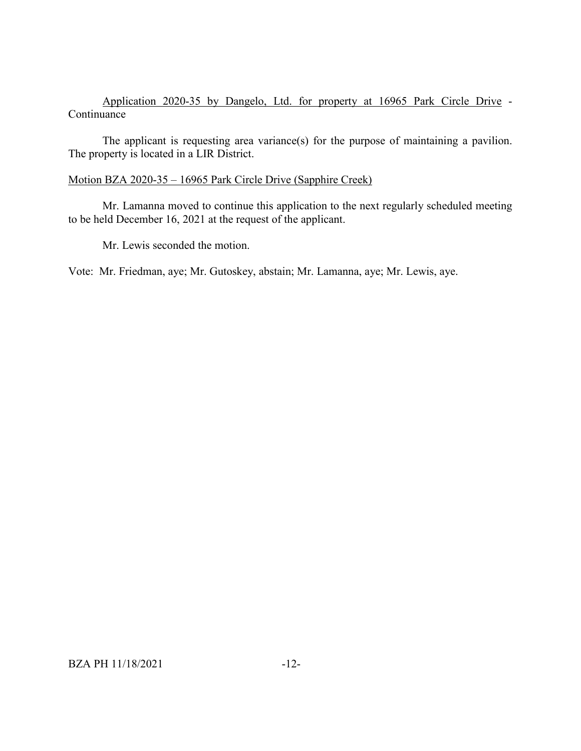# Application 2020-35 by Dangelo, Ltd. for property at 16965 Park Circle Drive - Continuance

The applicant is requesting area variance(s) for the purpose of maintaining a pavilion. The property is located in a LIR District.

# Motion BZA 2020-35 – 16965 Park Circle Drive (Sapphire Creek)

Mr. Lamanna moved to continue this application to the next regularly scheduled meeting to be held December 16, 2021 at the request of the applicant.

Mr. Lewis seconded the motion.

Vote: Mr. Friedman, aye; Mr. Gutoskey, abstain; Mr. Lamanna, aye; Mr. Lewis, aye.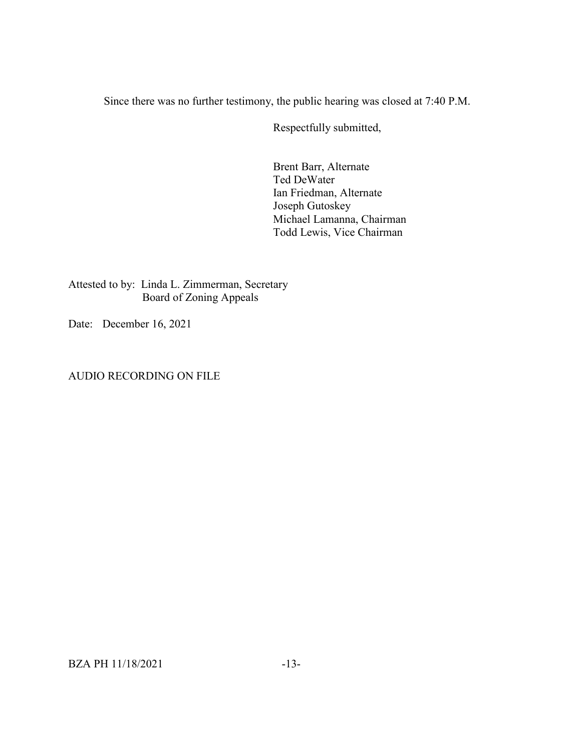Since there was no further testimony, the public hearing was closed at 7:40 P.M.

Respectfully submitted,

Brent Barr, Alternate Ted DeWater Ian Friedman, Alternate Joseph Gutoskey Michael Lamanna, Chairman Todd Lewis, Vice Chairman

Attested to by: Linda L. Zimmerman, Secretary Board of Zoning Appeals

Date: December 16, 2021

AUDIO RECORDING ON FILE

BZA PH 11/18/2021 -13-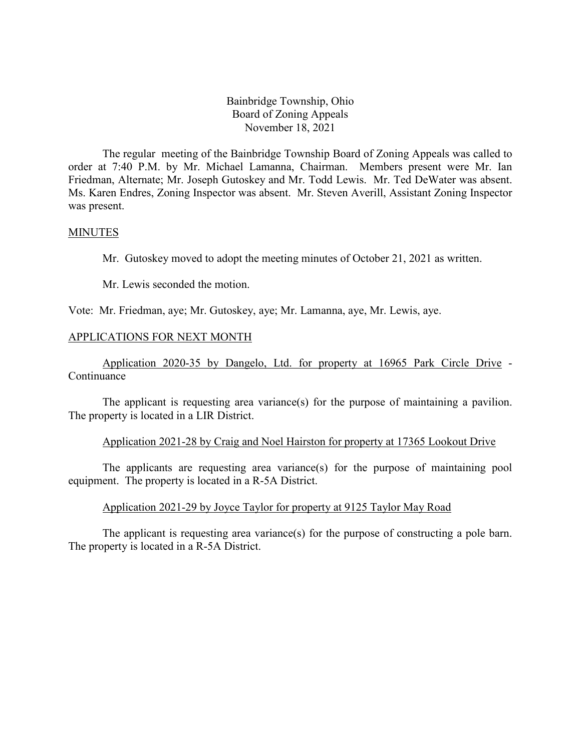Bainbridge Township, Ohio Board of Zoning Appeals November 18, 2021

The regular meeting of the Bainbridge Township Board of Zoning Appeals was called to order at 7:40 P.M. by Mr. Michael Lamanna, Chairman. Members present were Mr. Ian Friedman, Alternate; Mr. Joseph Gutoskey and Mr. Todd Lewis. Mr. Ted DeWater was absent. Ms. Karen Endres, Zoning Inspector was absent. Mr. Steven Averill, Assistant Zoning Inspector was present.

#### MINUTES

Mr. Gutoskey moved to adopt the meeting minutes of October 21, 2021 as written.

Mr. Lewis seconded the motion.

Vote: Mr. Friedman, aye; Mr. Gutoskey, aye; Mr. Lamanna, aye, Mr. Lewis, aye.

### APPLICATIONS FOR NEXT MONTH

Application 2020-35 by Dangelo, Ltd. for property at 16965 Park Circle Drive - **Continuance** 

The applicant is requesting area variance(s) for the purpose of maintaining a pavilion. The property is located in a LIR District.

### Application 2021-28 by Craig and Noel Hairston for property at 17365 Lookout Drive

The applicants are requesting area variance(s) for the purpose of maintaining pool equipment. The property is located in a R-5A District.

### Application 2021-29 by Joyce Taylor for property at 9125 Taylor May Road

The applicant is requesting area variance(s) for the purpose of constructing a pole barn. The property is located in a R-5A District.